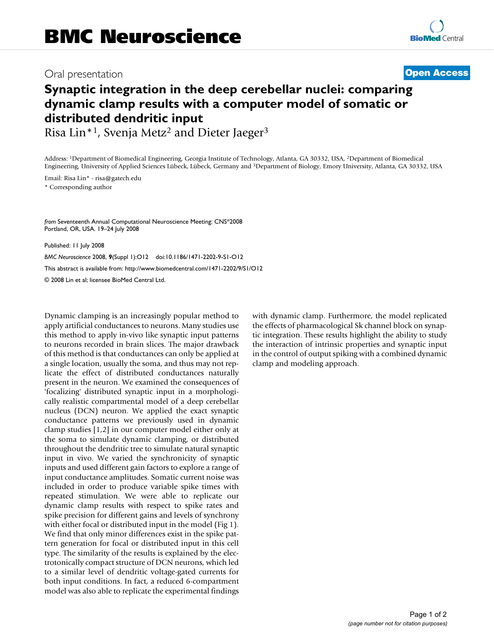## Oral presentation **[Open Access](http://www.biomedcentral.com/info/about/charter/)**

## **Synaptic integration in the deep cerebellar nuclei: comparing dynamic clamp results with a computer model of somatic or distributed dendritic input**

Risa Lin<sup>\*1</sup>, Svenja Metz<sup>2</sup> and Dieter Jaeger<sup>3</sup>

Address: 1Department of Biomedical Engineering, Georgia Institute of Technology, Atlanta, GA 30332, USA, 2Department of Biomedical Engineering, University of Applied Sciences Lübeck, Lübeck, Germany and 3Department of Biology, Emory University, Atlanta, GA 30332, USA

Email: Risa Lin\* - risa@gatech.edu

\* Corresponding author

*from* Seventeenth Annual Computational Neuroscience Meeting: CNS\*2008 Portland, OR, USA. 19–24 July 2008

Published: 11 July 2008 *BMC Neuroscience* 2008, **9**(Suppl 1):O12 doi:10.1186/1471-2202-9-S1-O12 [This abstract is available from: http://www.biomedcentral.com/1471-2202/9/S1/O12](http://www.biomedcentral.com/1471-2202/9/S1/O12) © 2008 Lin et al; licensee BioMed Central Ltd.

Dynamic clamping is an increasingly popular method to apply artificial conductances to neurons. Many studies use this method to apply in-vivo like synaptic input patterns to neurons recorded in brain slices. The major drawback of this method is that conductances can only be applied at a single location, usually the soma, and thus may not replicate the effect of distributed conductances naturally present in the neuron. We examined the consequences of 'focalizing' distributed synaptic input in a morphologically realistic compartmental model of a deep cerebellar nucleus (DCN) neuron. We applied the exact synaptic conductance patterns we previously used in dynamic clamp studies [1,2] in our computer model either only at the soma to simulate dynamic clamping, or distributed throughout the dendritic tree to simulate natural synaptic input in vivo. We varied the synchronicity of synaptic inputs and used different gain factors to explore a range of input conductance amplitudes. Somatic current noise was included in order to produce variable spike times with repeated stimulation. We were able to replicate our dynamic clamp results with respect to spike rates and spike precision for different gains and levels of synchrony with either focal or distributed input in the model (Fig 1). We find that only minor differences exist in the spike pattern generation for focal or distributed input in this cell type. The similarity of the results is explained by the electrotonically compact structure of DCN neurons, which led to a similar level of dendritic voltage-gated currents for both input conditions. In fact, a reduced 6-compartment model was also able to replicate the experimental findings

with dynamic clamp. Furthermore, the model replicated the effects of pharmacological Sk channel block on synaptic integration. These results highlight the ability to study the interaction of intrinsic properties and synaptic input in the control of output spiking with a combined dynamic clamp and modeling approach.